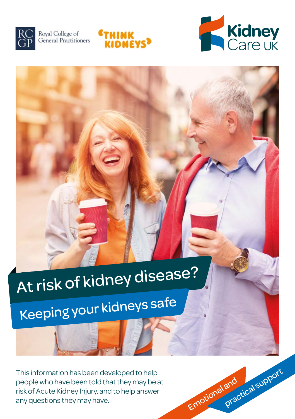

Royal College of General Practitioners





Emotional and

practical support

# At risk of kidney disease?

Keeping your kidneys safe

This information has been developed to help people who have been told that they may be at risk of Acute Kidney Injury, and to help answer any questions they may have.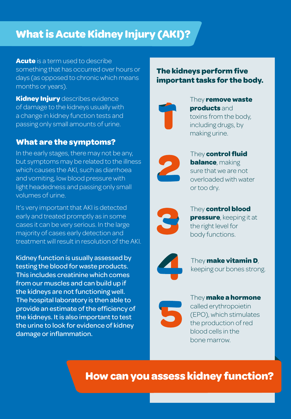# **What is Acute Kidney Injury (AKI)?**

**Acute** is a term used to describe something that has occurred over hours or days (as opposed to chronic which means months or years).

**Kidney Injury** describes evidence of damage to the kidneys usually with a change in kidney function tests and passing only small amounts of urine.

# **What are the symptoms?**

In the early stages, there may not be any, but symptoms may be related to the illness which causes the AKI, such as diarrhoea and vomiting, low blood pressure with light headedness and passing only small volumes of urine.

It's very important that AKI is detected early and treated promptly as in some cases it can be very serious. In the large majority of cases early detection and treatment will result in resolution of the AKI.

Kidney function is usually assessed by testing the blood for waste products. This includes creatinine which comes from our muscles and can build up if the kidneys are not functioning well. The hospital laboratory is then able to provide an estimate of the efficiency of the kidneys. It is also important to test the urine to look for evidence of kidney damage or inflammation.

# **The kidneys perform five important tasks for the body.**



They **remove waste products** and toxins from the body, including drugs, by making urine.

They **control fluid balance**, making sure that we are not overloaded with water or too dry.



They **control blood pressure**, keeping it at the right level for body functions.



They **make vitamin D**, keeping our bones strong.



They **make a hormone** called erythropoietin (EPO), which stimulates the production of red blood cells in the bone marrow.

**How can you assess kidney function?**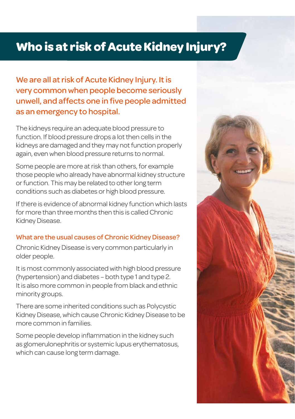# **Who is at risk of Acute Kidney Injury?**

We are all at risk of Acute Kidney Injury. It is very common when people become seriously unwell, and affects one in five people admitted as an emergency to hospital.

The kidneys require an adequate blood pressure to function. If blood pressure drops a lot then cells in the kidneys are damaged and they may not function properly again, even when blood pressure returns to normal.

Some people are more at risk than others, for example those people who already have abnormal kidney structure or function. This may be related to other long term conditions such as diabetes or high blood pressure.

If there is evidence of abnormal kidney function which lasts for more than three months then this is called Chronic Kidney Disease.

### What are the usual causes of Chronic Kidney Disease?

Chronic Kidney Disease is very common particularly in older people.

It is most commonly associated with high blood pressure (hypertension) and diabetes – both type 1 and type 2. It is also more common in people from black and ethnic minority groups.

There are some inherited conditions such as Polycystic Kidney Disease, which cause Chronic Kidney Disease to be more common in families.

Some people develop inflammation in the kidney such as glomerulonephritis or systemic lupus erythematosus, which can cause long term damage.

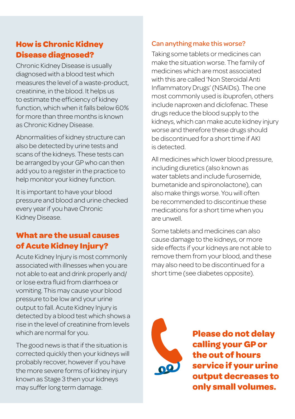# **How is Chronic Kidney Disease diagnosed?**

Chronic Kidney Disease is usually diagnosed with a blood test which measures the level of a waste-product, creatinine, in the blood. It helps us to estimate the efficiency of kidney function, which when it falls below 60% for more than three months is known as Chronic Kidney Disease.

Abnormalities of kidney structure can also be detected by urine tests and scans of the kidneys. These tests can be arranged by your GP who can then add you to a register in the practice to help monitor your kidney function.

It is important to have your blood pressure and blood and urine checked every year if you have Chronic Kidney Disease.

# **What are the usual causes of Acute Kidney Injury?**

Acute Kidney Injury is most commonly associated with illnesses when you are not able to eat and drink properly and/ or lose extra fluid from diarrhoea or vomiting. This may cause your blood pressure to be low and your urine output to fall. Acute Kidney Injury is detected by a blood test which shows a rise in the level of creatinine from levels which are normal for you.

The good news is that if the situation is corrected quickly then your kidneys will probably recover, however if you have the more severe forms of kidney injury known as Stage 3 then your kidneys may suffer long term damage.

## Can anything make this worse?

Taking some tablets or medicines can make the situation worse. The family of medicines which are most associated with this are called 'Non Steroidal Anti Inflammatory Drugs' (NSAIDs). The one most commonly used is ibuprofen, others include naproxen and diclofenac. These drugs reduce the blood supply to the kidneys, which can make acute kidney injury worse and therefore these drugs should be discontinued for a short time if AKI is detected.

All medicines which lower blood pressure, including diuretics (also known as water tablets and include furosemide bumetanide and spironolactone), can also make things worse. You will often be recommended to discontinue these medications for a short time when you are unwell.

Some tablets and medicines can also cause damage to the kidneys, or more side effects if your kidneys are not able to remove them from your blood, and these may also need to be discontinued for a short time (see diabetes opposite).



**Please do not delay calling your GP or the out of hours service if your urine output decreases to only small volumes.**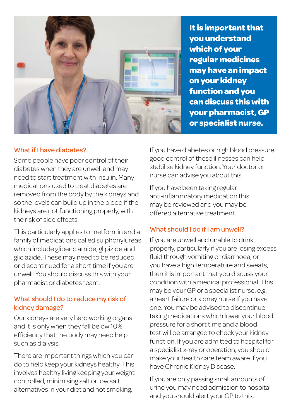

**It is important that you understand which of your regular medicines may have an impact on your kidney function and you can discuss this with your pharmacist, GP or specialist nurse.**

### What if I have diabetes?

Some people have poor control of their diabetes when they are unwell and may need to start treatment with insulin. Many medications used to treat diabetes are removed from the body by the kidneys and so the levels can build up in the blood if the kidneys are not functioning properly, with the risk of side effects.

This particularly applies to metformin and a family of medications called sulphonylureas which include glibenclamide, glipizide and gliclazide. These may need to be reduced or discontinued for a short time if you are unwell. You should discuss this with your pharmacist or diabetes team.

## What should I do to reduce my risk of kidney damage?

Our kidneys are very hard working organs and it is only when they fall below 10% efficiency that the body may need help such as dialysis.

There are important things which you can do to help keep your kidneys healthy. This involves healthy living keeping your weight controlled, minimising salt or low salt alternatives in your diet and not smoking.

If you have diabetes or high blood pressure good control of these illnesses can help stabilise kidney function. Your doctor or nurse can advise you about this.

If you have been taking regular anti-inflammatory medication this may be reviewed and you may be offered alternative treatment.

### What should I do if I am unwell?

If you are unwell and unable to drink properly, particularly if you are losing excess fluid through vomiting or diarrhoea, or you have a high temperature and sweats, then it is important that you discuss your condition with a medical professional. This may be your GP or a specialist nurse, e.g. a heart failure or kidney nurse if you have one. You may be advised to discontinue taking medications which lower your blood pressure for a short time and a blood test will be arranged to check your kidney function. If you are admitted to hospital for a specialist x-ray or operation, you should make your health care team aware if you have Chronic Kidney Disease.

If you are only passing small amounts of urine you may need admission to hospital and you should alert your GP to this.